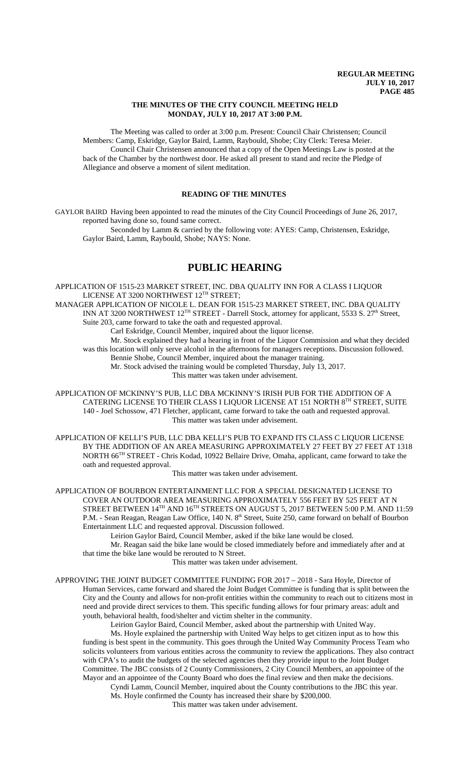## **THE MINUTES OF THE CITY COUNCIL MEETING HELD MONDAY, JULY 10, 2017 AT 3:00 P.M.**

The Meeting was called to order at 3:00 p.m. Present: Council Chair Christensen; Council Members: Camp, Eskridge, Gaylor Baird, Lamm, Raybould, Shobe; City Clerk: Teresa Meier. Council Chair Christensen announced that a copy of the Open Meetings Law is posted at the back of the Chamber by the northwest door. He asked all present to stand and recite the Pledge of Allegiance and observe a moment of silent meditation.

## **READING OF THE MINUTES**

GAYLOR BAIRD Having been appointed to read the minutes of the City Council Proceedings of June 26, 2017, reported having done so, found same correct.

Seconded by Lamm & carried by the following vote: AYES: Camp, Christensen, Eskridge, Gaylor Baird, Lamm, Raybould, Shobe; NAYS: None.

# **PUBLIC HEARING**

APPLICATION OF 1515-23 MARKET STREET, INC. DBA QUALITY INN FOR A CLASS I LIQUOR LICENSE AT 3200 NORTHWEST 12<sup>TH</sup> STREET;

MANAGER APPLICATION OF NICOLE L. DEAN FOR 1515-23 MARKET STREET, INC. DBA QUALITY INN AT 3200 NORTHWEST 12TH STREET - Darrell Stock, attorney for applicant, 5533 S. 27th Street, Suite 203, came forward to take the oath and requested approval.

Carl Eskridge, Council Member, inquired about the liquor license.

Mr. Stock explained they had a hearing in front of the Liquor Commission and what they decided was this location will only serve alcohol in the afternoons for managers receptions. Discussion followed. Bennie Shobe, Council Member, inquired about the manager training.

Mr. Stock advised the training would be completed Thursday, July 13, 2017.

This matter was taken under advisement.

APPLICATION OF MCKINNY'S PUB, LLC DBA MCKINNY'S IRISH PUB FOR THE ADDITION OF A CATERING LICENSE TO THEIR CLASS I LIQUOR LICENSE AT 151 NORTH 8TH STREET, SUITE 140 - Joel Schossow, 471 Fletcher, applicant, came forward to take the oath and requested approval. This matter was taken under advisement.

APPLICATION OF KELLI'S PUB, LLC DBA KELLI'S PUB TO EXPAND ITS CLASS C LIQUOR LICENSE BY THE ADDITION OF AN AREA MEASURING APPROXIMATELY 27 FEET BY 27 FEET AT 1318 NORTH 66TH STREET - Chris Kodad, 10922 Bellaire Drive, Omaha, applicant, came forward to take the oath and requested approval.

This matter was taken under advisement.

APPLICATION OF BOURBON ENTERTAINMENT LLC FOR A SPECIAL DESIGNATED LICENSE TO COVER AN OUTDOOR AREA MEASURING APPROXIMATELY 556 FEET BY 525 FEET AT N STREET BETWEEN 14<sup>TH</sup> AND 16<sup>TH</sup> STREETS ON AUGUST 5, 2017 BETWEEN 5:00 P.M. AND 11:59 P.M. - Sean Reagan, Reagan Law Office, 140 N. 8<sup>th</sup> Street, Suite 250, came forward on behalf of Bourbon Entertainment LLC and requested approval. Discussion followed.

Leirion Gaylor Baird, Council Member, asked if the bike lane would be closed.

Mr. Reagan said the bike lane would be closed immediately before and immediately after and at that time the bike lane would be rerouted to N Street.

This matter was taken under advisement.

APPROVING THE JOINT BUDGET COMMITTEE FUNDING FOR 2017 – 2018 - Sara Hoyle, Director of Human Services, came forward and shared the Joint Budget Committee is funding that is split between the City and the County and allows for non-profit entities within the community to reach out to citizens most in need and provide direct services to them. This specific funding allows for four primary areas: adult and youth, behavioral health, food/shelter and victim shelter in the community.

Leirion Gaylor Baird, Council Member, asked about the partnership with United Way. Ms. Hoyle explained the partnership with United Way helps to get citizen input as to how this funding is best spent in the community. This goes through the United Way Community Process Team who solicits volunteers from various entities across the community to review the applications. They also contract with CPA's to audit the budgets of the selected agencies then they provide input to the Joint Budget Committee. The JBC consists of 2 County Commissioners, 2 City Council Members, an appointee of the Mayor and an appointee of the County Board who does the final review and then make the decisions.

Cyndi Lamm, Council Member, inquired about the County contributions to the JBC this year. Ms. Hoyle confirmed the County has increased their share by \$200,000.

This matter was taken under advisement.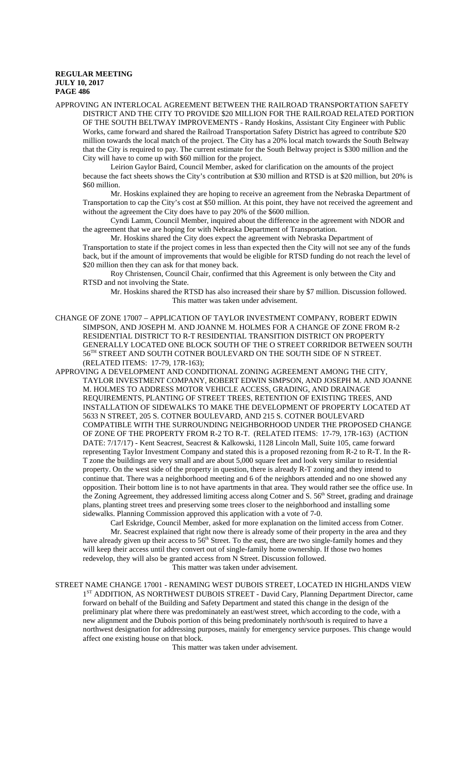APPROVING AN INTERLOCAL AGREEMENT BETWEEN THE RAILROAD TRANSPORTATION SAFETY DISTRICT AND THE CITY TO PROVIDE \$20 MILLION FOR THE RAILROAD RELATED PORTION OF THE SOUTH BELTWAY IMPROVEMENTS - Randy Hoskins, Assistant City Engineer with Public Works, came forward and shared the Railroad Transportation Safety District has agreed to contribute \$20 million towards the local match of the project. The City has a 20% local match towards the South Beltway that the City is required to pay. The current estimate for the South Beltway project is \$300 million and the City will have to come up with \$60 million for the project.

Leirion Gaylor Baird, Council Member, asked for clarification on the amounts of the project because the fact sheets shows the City's contribution at \$30 million and RTSD is at \$20 million, but 20% is \$60 million.

Mr. Hoskins explained they are hoping to receive an agreement from the Nebraska Department of Transportation to cap the City's cost at \$50 million. At this point, they have not received the agreement and without the agreement the City does have to pay 20% of the \$600 million.

Cyndi Lamm, Council Member, inquired about the difference in the agreement with NDOR and the agreement that we are hoping for with Nebraska Department of Transportation.

Mr. Hoskins shared the City does expect the agreement with Nebraska Department of Transportation to state if the project comes in less than expected then the City will not see any of the funds back, but if the amount of improvements that would be eligible for RTSD funding do not reach the level of \$20 million then they can ask for that money back.

Roy Christensen, Council Chair, confirmed that this Agreement is only between the City and RTSD and not involving the State.

Mr. Hoskins shared the RTSD has also increased their share by \$7 million. Discussion followed. This matter was taken under advisement.

CHANGE OF ZONE 17007 – APPLICATION OF TAYLOR INVESTMENT COMPANY, ROBERT EDWIN SIMPSON, AND JOSEPH M. AND JOANNE M. HOLMES FOR A CHANGE OF ZONE FROM R-2 RESIDENTIAL DISTRICT TO R-T RESIDENTIAL TRANSITION DISTRICT ON PROPERTY GENERALLY LOCATED ONE BLOCK SOUTH OF THE O STREET CORRIDOR BETWEEN SOUTH 56TH STREET AND SOUTH COTNER BOULEVARD ON THE SOUTH SIDE OF N STREET. (RELATED ITEMS: 17-79, 17R-163);

APPROVING A DEVELOPMENT AND CONDITIONAL ZONING AGREEMENT AMONG THE CITY, TAYLOR INVESTMENT COMPANY, ROBERT EDWIN SIMPSON, AND JOSEPH M. AND JOANNE M. HOLMES TO ADDRESS MOTOR VEHICLE ACCESS, GRADING, AND DRAINAGE REQUIREMENTS, PLANTING OF STREET TREES, RETENTION OF EXISTING TREES, AND INSTALLATION OF SIDEWALKS TO MAKE THE DEVELOPMENT OF PROPERTY LOCATED AT 5633 N STREET, 205 S. COTNER BOULEVARD, AND 215 S. COTNER BOULEVARD COMPATIBLE WITH THE SURROUNDING NEIGHBORHOOD UNDER THE PROPOSED CHANGE OF ZONE OF THE PROPERTY FROM R-2 TO R-T. (RELATED ITEMS: 17-79, 17R-163) (ACTION DATE: 7/17/17) - Kent Seacrest, Seacrest & Kalkowski, 1128 Lincoln Mall, Suite 105, came forward representing Taylor Investment Company and stated this is a proposed rezoning from R-2 to R-T. In the R-T zone the buildings are very small and are about 5,000 square feet and look very similar to residential property. On the west side of the property in question, there is already R-T zoning and they intend to continue that. There was a neighborhood meeting and 6 of the neighbors attended and no one showed any opposition. Their bottom line is to not have apartments in that area. They would rather see the office use. In the Zoning Agreement, they addressed limiting access along Cotner and S. 56<sup>th</sup> Street, grading and drainage plans, planting street trees and preserving some trees closer to the neighborhood and installing some sidewalks. Planning Commission approved this application with a vote of 7-0.

Carl Eskridge, Council Member, asked for more explanation on the limited access from Cotner. Mr. Seacrest explained that right now there is already some of their property in the area and they have already given up their access to  $56<sup>th</sup>$  Street. To the east, there are two single-family homes and they will keep their access until they convert out of single-family home ownership. If those two homes redevelop, they will also be granted access from N Street. Discussion followed. This matter was taken under advisement.

STREET NAME CHANGE 17001 - RENAMING WEST DUBOIS STREET, LOCATED IN HIGHLANDS VIEW 1<sup>ST</sup> ADDITION, AS NORTHWEST DUBOIS STREET - David Cary, Planning Department Director, came forward on behalf of the Building and Safety Department and stated this change in the design of the preliminary plat where there was predominately an east/west street, which according to the code, with a new alignment and the Dubois portion of this being predominately north/south is required to have a northwest designation for addressing purposes, mainly for emergency service purposes. This change would affect one existing house on that block.

This matter was taken under advisement.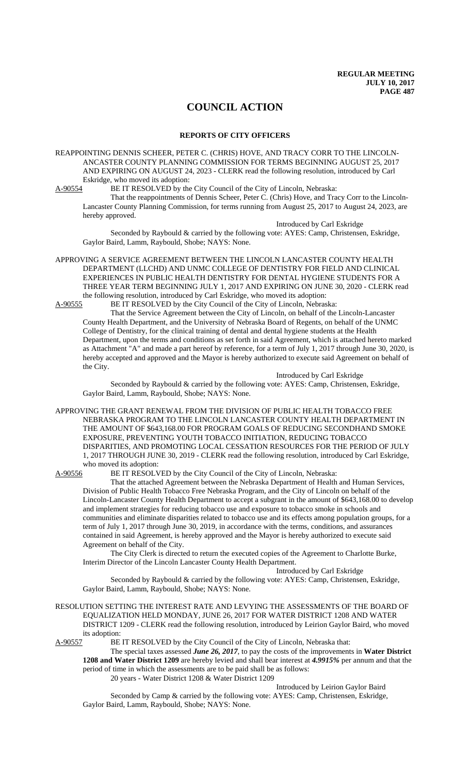# **COUNCIL ACTION**

### **REPORTS OF CITY OFFICERS**

REAPPOINTING DENNIS SCHEER, PETER C. (CHRIS) HOVE, AND TRACY CORR TO THE LINCOLN-ANCASTER COUNTY PLANNING COMMISSION FOR TERMS BEGINNING AUGUST 25, 2017 AND EXPIRING ON AUGUST 24, 2023 - CLERK read the following resolution, introduced by Carl Eskridge, who moved its adoption:<br>A-90554 BE IT RESOLVED by the

BE IT RESOLVED by the City Council of the City of Lincoln, Nebraska:

That the reappointments of Dennis Scheer, Peter C. (Chris) Hove, and Tracy Corr to the Lincoln-Lancaster County Planning Commission, for terms running from August 25, 2017 to August 24, 2023, are hereby approved.

Introduced by Carl Eskridge

Seconded by Raybould & carried by the following vote: AYES: Camp, Christensen, Eskridge, Gaylor Baird, Lamm, Raybould, Shobe; NAYS: None.

APPROVING A SERVICE AGREEMENT BETWEEN THE LINCOLN LANCASTER COUNTY HEALTH DEPARTMENT (LLCHD) AND UNMC COLLEGE OF DENTISTRY FOR FIELD AND CLINICAL EXPERIENCES IN PUBLIC HEALTH DENTISTRY FOR DENTAL HYGIENE STUDENTS FOR A THREE YEAR TERM BEGINNING JULY 1, 2017 AND EXPIRING ON JUNE 30, 2020 - CLERK read the following resolution, introduced by Carl Eskridge, who moved its adoption:<br>A-90555 BE IT RESOLVED by the City Council of the City of Lincoln, Nebras

BE IT RESOLVED by the City Council of the City of Lincoln, Nebraska: That the Service Agreement between the City of Lincoln, on behalf of the Lincoln-Lancaster County Health Department, and the University of Nebraska Board of Regents, on behalf of the UNMC College of Dentistry, for the clinical training of dental and dental hygiene students at the Health Department, upon the terms and conditions as set forth in said Agreement, which is attached hereto marked as Attachment "A" and made a part hereof by reference, for a term of July 1, 2017 through June 30, 2020, is hereby accepted and approved and the Mayor is hereby authorized to execute said Agreement on behalf of

Introduced by Carl Eskridge Seconded by Raybould & carried by the following vote: AYES: Camp, Christensen, Eskridge, Gaylor Baird, Lamm, Raybould, Shobe; NAYS: None.

APPROVING THE GRANT RENEWAL FROM THE DIVISION OF PUBLIC HEALTH TOBACCO FREE NEBRASKA PROGRAM TO THE LINCOLN LANCASTER COUNTY HEALTH DEPARTMENT IN THE AMOUNT OF \$643,168.00 FOR PROGRAM GOALS OF REDUCING SECONDHAND SMOKE EXPOSURE, PREVENTING YOUTH TOBACCO INITIATION, REDUCING TOBACCO DISPARITIES, AND PROMOTING LOCAL CESSATION RESOURCES FOR THE PERIOD OF JULY 1, 2017 THROUGH JUNE 30, 2019 - CLERK read the following resolution, introduced by Carl Eskridge, who moved its adoption:<br>A-90556 BE IT RESOLV

the City.

BE IT RESOLVED by the City Council of the City of Lincoln, Nebraska:

That the attached Agreement between the Nebraska Department of Health and Human Services, Division of Public Health Tobacco Free Nebraska Program, and the City of Lincoln on behalf of the Lincoln-Lancaster County Health Department to accept a subgrant in the amount of \$643,168.00 to develop and implement strategies for reducing tobacco use and exposure to tobacco smoke in schools and communities and eliminate disparities related to tobacco use and its effects among population groups, for a term of July 1, 2017 through June 30, 2019, in accordance with the terms, conditions, and assurances contained in said Agreement, is hereby approved and the Mayor is hereby authorized to execute said Agreement on behalf of the City.

The City Clerk is directed to return the executed copies of the Agreement to Charlotte Burke, Interim Director of the Lincoln Lancaster County Health Department.

Introduced by Carl Eskridge

Seconded by Raybould & carried by the following vote: AYES: Camp, Christensen, Eskridge, Gaylor Baird, Lamm, Raybould, Shobe; NAYS: None.

## RESOLUTION SETTING THE INTEREST RATE AND LEVYING THE ASSESSMENTS OF THE BOARD OF EQUALIZATION HELD MONDAY, JUNE 26, 2017 FOR WATER DISTRICT 1208 AND WATER DISTRICT 1209 - CLERK read the following resolution, introduced by Leirion Gaylor Baird, who moved its adoption:

A-90557 BE IT RESOLVED by the City Council of the City of Lincoln, Nebraska that:

The special taxes assessed *June 26, 2017*, to pay the costs of the improvements in **Water District 1208 and Water District 1209** are hereby levied and shall bear interest at *4.9915%* per annum and that the period of time in which the assessments are to be paid shall be as follows: 20 years - Water District 1208 & Water District 1209

Introduced by Leirion Gaylor Baird

Seconded by Camp & carried by the following vote: AYES: Camp, Christensen, Eskridge, Gaylor Baird, Lamm, Raybould, Shobe; NAYS: None.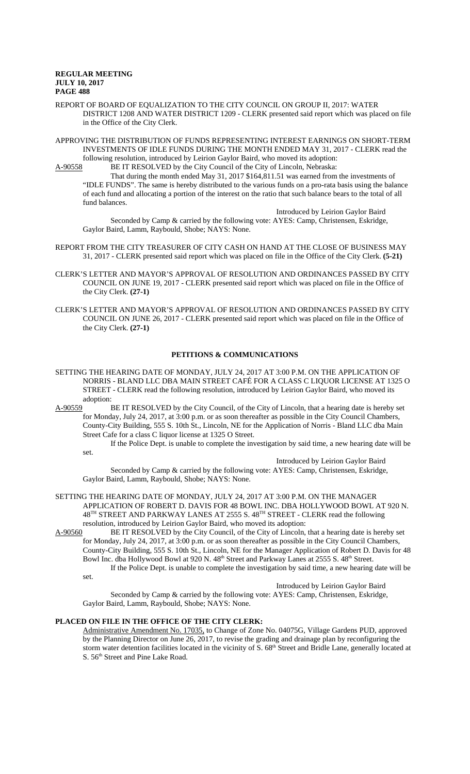- REPORT OF BOARD OF EQUALIZATION TO THE CITY COUNCIL ON GROUP II, 2017: WATER DISTRICT 1208 AND WATER DISTRICT 1209 - CLERK presented said report which was placed on file in the Office of the City Clerk.
- APPROVING THE DISTRIBUTION OF FUNDS REPRESENTING INTEREST EARNINGS ON SHORT-TERM INVESTMENTS OF IDLE FUNDS DURING THE MONTH ENDED MAY 31, 2017 - CLERK read the following resolution, introduced by Leirion Gaylor Baird, who moved its adoption:

A-90558 BE IT RESOLVED by the City Council of the City of Lincoln, Nebraska: That during the month ended May 31, 2017 \$164,811.51 was earned from the investments of "IDLE FUNDS". The same is hereby distributed to the various funds on a pro-rata basis using the balance of each fund and allocating a portion of the interest on the ratio that such balance bears to the total of all fund balances.

Introduced by Leirion Gaylor Baird Seconded by Camp & carried by the following vote: AYES: Camp, Christensen, Eskridge, Gaylor Baird, Lamm, Raybould, Shobe; NAYS: None.

- REPORT FROM THE CITY TREASURER OF CITY CASH ON HAND AT THE CLOSE OF BUSINESS MAY 31, 2017 - CLERK presented said report which was placed on file in the Office of the City Clerk. **(5-21)**
- CLERK'S LETTER AND MAYOR'S APPROVAL OF RESOLUTION AND ORDINANCES PASSED BY CITY COUNCIL ON JUNE 19, 2017 - CLERK presented said report which was placed on file in the Office of the City Clerk. **(27-1)**
- CLERK'S LETTER AND MAYOR'S APPROVAL OF RESOLUTION AND ORDINANCES PASSED BY CITY COUNCIL ON JUNE 26, 2017 - CLERK presented said report which was placed on file in the Office of the City Clerk. **(27-1)**

### **PETITIONS & COMMUNICATIONS**

- SETTING THE HEARING DATE OF MONDAY, JULY 24, 2017 AT 3:00 P.M. ON THE APPLICATION OF NORRIS - BLAND LLC DBA MAIN STREET CAFÉ FOR A CLASS C LIQUOR LICENSE AT 1325 O STREET - CLERK read the following resolution, introduced by Leirion Gaylor Baird, who moved its adoption:
- A-90559 BE IT RESOLVED by the City Council, of the City of Lincoln, that a hearing date is hereby set for Monday, July 24, 2017, at 3:00 p.m. or as soon thereafter as possible in the City Council Chambers, County-City Building, 555 S. 10th St., Lincoln, NE for the Application of Norris - Bland LLC dba Main Street Cafe for a class C liquor license at 1325 O Street.

If the Police Dept. is unable to complete the investigation by said time, a new hearing date will be set.

Introduced by Leirion Gaylor Baird

Seconded by Camp & carried by the following vote: AYES: Camp, Christensen, Eskridge, Gaylor Baird, Lamm, Raybould, Shobe; NAYS: None.

- SETTING THE HEARING DATE OF MONDAY, JULY 24, 2017 AT 3:00 P.M. ON THE MANAGER APPLICATION OF ROBERT D. DAVIS FOR 48 BOWL INC. DBA HOLLYWOOD BOWL AT 920 N. 48<sup>TH</sup> STREET AND PARKWAY LANES AT 2555 S. 48<sup>TH</sup> STREET - CLERK read the following resolution, introduced by Leirion Gaylor Baird, who moved its adoption:<br>A-90560 BE IT RESOLVED by the City Council, of the City of Lincoln,
- BE IT RESOLVED by the City Council, of the City of Lincoln, that a hearing date is hereby set for Monday, July 24, 2017, at 3:00 p.m. or as soon thereafter as possible in the City Council Chambers, County-City Building, 555 S. 10th St., Lincoln, NE for the Manager Application of Robert D. Davis for 48 Bowl Inc. dba Hollywood Bowl at 920 N. 48<sup>th</sup> Street and Parkway Lanes at 2555 S. 48<sup>th</sup> Street. If the Police Dept. is unable to complete the investigation by said time, a new hearing date will be
	- set.

Introduced by Leirion Gaylor Baird

Seconded by Camp & carried by the following vote: AYES: Camp, Christensen, Eskridge, Gaylor Baird, Lamm, Raybould, Shobe; NAYS: None.

## **PLACED ON FILE IN THE OFFICE OF THE CITY CLERK:**

Administrative Amendment No. 17035, to Change of Zone No. 04075G, Village Gardens PUD, approved by the Planning Director on June 26, 2017, to revise the grading and drainage plan by reconfiguring the storm water detention facilities located in the vicinity of S. 68<sup>th</sup> Street and Bridle Lane, generally located at S. 56<sup>th</sup> Street and Pine Lake Road.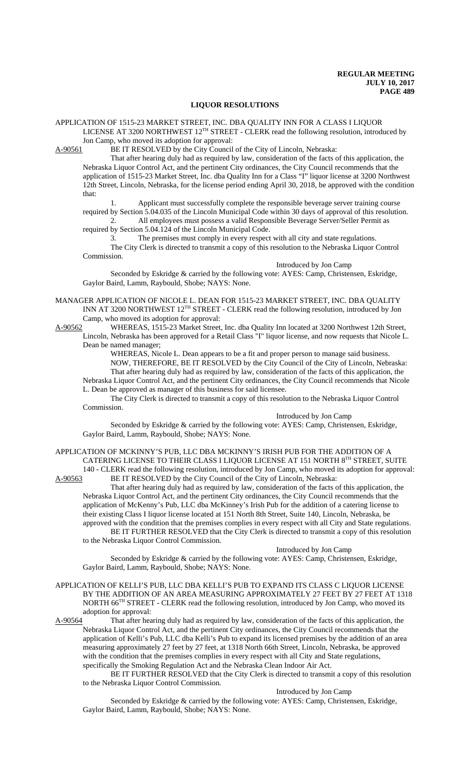#### **LIQUOR RESOLUTIONS**

APPLICATION OF 1515-23 MARKET STREET, INC. DBA QUALITY INN FOR A CLASS I LIQUOR LICENSE AT 3200 NORTHWEST 12TH STREET - CLERK read the following resolution, introduced by Jon Camp, who moved its adoption for approval:

A-90561 BE IT RESOLVED by the City Council of the City of Lincoln, Nebraska:

That after hearing duly had as required by law, consideration of the facts of this application, the Nebraska Liquor Control Act, and the pertinent City ordinances, the City Council recommends that the application of 1515-23 Market Street, Inc. dba Quality Inn for a Class "I" liquor license at 3200 Northwest 12th Street, Lincoln, Nebraska, for the license period ending April 30, 2018, be approved with the condition that:

1. Applicant must successfully complete the responsible beverage server training course required by Section 5.04.035 of the Lincoln Municipal Code within 30 days of approval of this resolution.

2. All employees must possess a valid Responsible Beverage Server/Seller Permit as required by Section 5.04.124 of the Lincoln Municipal Code.

3. The premises must comply in every respect with all city and state regulations. The City Clerk is directed to transmit a copy of this resolution to the Nebraska Liquor Control Commission.

Introduced by Jon Camp

Seconded by Eskridge & carried by the following vote: AYES: Camp, Christensen, Eskridge, Gaylor Baird, Lamm, Raybould, Shobe; NAYS: None.

MANAGER APPLICATION OF NICOLE L. DEAN FOR 1515-23 MARKET STREET, INC. DBA QUALITY INN AT 3200 NORTHWEST 12TH STREET - CLERK read the following resolution, introduced by Jon Camp, who moved its adoption for approval:

A-90562 WHEREAS, 1515-23 Market Street, Inc. dba Quality Inn located at 3200 Northwest 12th Street, Lincoln, Nebraska has been approved for a Retail Class "I" liquor license, and now requests that Nicole L. Dean be named manager;

WHEREAS, Nicole L. Dean appears to be a fit and proper person to manage said business. NOW, THEREFORE, BE IT RESOLVED by the City Council of the City of Lincoln, Nebraska: That after hearing duly had as required by law, consideration of the facts of this application, the Nebraska Liquor Control Act, and the pertinent City ordinances, the City Council recommends that Nicole

L. Dean be approved as manager of this business for said licensee. The City Clerk is directed to transmit a copy of this resolution to the Nebraska Liquor Control Commission.

Introduced by Jon Camp

Seconded by Eskridge & carried by the following vote: AYES: Camp, Christensen, Eskridge, Gaylor Baird, Lamm, Raybould, Shobe; NAYS: None.

APPLICATION OF MCKINNY'S PUB, LLC DBA MCKINNY'S IRISH PUB FOR THE ADDITION OF A CATERING LICENSE TO THEIR CLASS I LIQUOR LICENSE AT 151 NORTH 8TH STREET, SUITE

140 - CLERK read the following resolution, introduced by Jon Camp, who moved its adoption for approval: A-90563 BE IT RESOLVED by the City Council of the City of Lincoln, Nebraska:

That after hearing duly had as required by law, consideration of the facts of this application, the Nebraska Liquor Control Act, and the pertinent City ordinances, the City Council recommends that the application of McKenny's Pub, LLC dba McKinney's Irish Pub for the addition of a catering license to their existing Class I liquor license located at 151 North 8th Street, Suite 140, Lincoln, Nebraska, be approved with the condition that the premises complies in every respect with all City and State regulations. BE IT FURTHER RESOLVED that the City Clerk is directed to transmit a copy of this resolution to the Nebraska Liquor Control Commission.

#### Introduced by Jon Camp

Seconded by Eskridge & carried by the following vote: AYES: Camp, Christensen, Eskridge, Gaylor Baird, Lamm, Raybould, Shobe; NAYS: None.

#### APPLICATION OF KELLI'S PUB, LLC DBA KELLI'S PUB TO EXPAND ITS CLASS C LIQUOR LICENSE BY THE ADDITION OF AN AREA MEASURING APPROXIMATELY 27 FEET BY 27 FEET AT 1318 NORTH 66<sup>TH</sup> STREET - CLERK read the following resolution, introduced by Jon Camp, who moved its adoption for approval:

A-90564 That after hearing duly had as required by law, consideration of the facts of this application, the Nebraska Liquor Control Act, and the pertinent City ordinances, the City Council recommends that the application of Kelli's Pub, LLC dba Kelli's Pub to expand its licensed premises by the addition of an area measuring approximately 27 feet by 27 feet, at 1318 North 66th Street, Lincoln, Nebraska, be approved with the condition that the premises complies in every respect with all City and State regulations, specifically the Smoking Regulation Act and the Nebraska Clean Indoor Air Act.

BE IT FURTHER RESOLVED that the City Clerk is directed to transmit a copy of this resolution to the Nebraska Liquor Control Commission.

Introduced by Jon Camp

Seconded by Eskridge & carried by the following vote: AYES: Camp, Christensen, Eskridge, Gaylor Baird, Lamm, Raybould, Shobe; NAYS: None.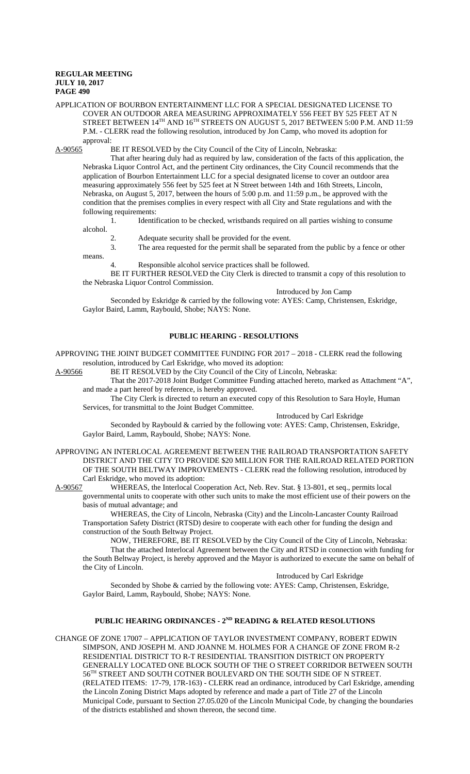means.

#### APPLICATION OF BOURBON ENTERTAINMENT LLC FOR A SPECIAL DESIGNATED LICENSE TO COVER AN OUTDOOR AREA MEASURING APPROXIMATELY 556 FEET BY 525 FEET AT N STREET BETWEEN 14<sup>TH</sup> AND 16<sup>TH</sup> STREETS ON AUGUST 5, 2017 BETWEEN 5:00 P.M. AND 11:59 P.M. - CLERK read the following resolution, introduced by Jon Camp, who moved its adoption for approval:

A-90565 BE IT RESOLVED by the City Council of the City of Lincoln, Nebraska:

That after hearing duly had as required by law, consideration of the facts of this application, the Nebraska Liquor Control Act, and the pertinent City ordinances, the City Council recommends that the application of Bourbon Entertainment LLC for a special designated license to cover an outdoor area measuring approximately 556 feet by 525 feet at N Street between 14th and 16th Streets, Lincoln, Nebraska, on August 5, 2017, between the hours of 5:00 p.m. and 11:59 p.m., be approved with the condition that the premises complies in every respect with all City and State regulations and with the following requirements:

1. Identification to be checked, wristbands required on all parties wishing to consume alcohol.

2. Adequate security shall be provided for the event.

3. The area requested for the permit shall be separated from the public by a fence or other

4. Responsible alcohol service practices shall be followed.

BE IT FURTHER RESOLVED the City Clerk is directed to transmit a copy of this resolution to the Nebraska Liquor Control Commission.

Introduced by Jon Camp

Seconded by Eskridge & carried by the following vote: AYES: Camp, Christensen, Eskridge, Gaylor Baird, Lamm, Raybould, Shobe; NAYS: None.

## **PUBLIC HEARING - RESOLUTIONS**

APPROVING THE JOINT BUDGET COMMITTEE FUNDING FOR 2017 – 2018 - CLERK read the following resolution, introduced by Carl Eskridge, who moved its adoption:

A-90566 BE IT RESOLVED by the City Council of the City of Lincoln, Nebraska:

That the 2017-2018 Joint Budget Committee Funding attached hereto, marked as Attachment "A", and made a part hereof by reference, is hereby approved.

The City Clerk is directed to return an executed copy of this Resolution to Sara Hoyle, Human Services, for transmittal to the Joint Budget Committee.

Introduced by Carl Eskridge

Seconded by Raybould & carried by the following vote: AYES: Camp, Christensen, Eskridge, Gaylor Baird, Lamm, Raybould, Shobe; NAYS: None.

APPROVING AN INTERLOCAL AGREEMENT BETWEEN THE RAILROAD TRANSPORTATION SAFETY DISTRICT AND THE CITY TO PROVIDE \$20 MILLION FOR THE RAILROAD RELATED PORTION OF THE SOUTH BELTWAY IMPROVEMENTS - CLERK read the following resolution, introduced by Carl Eskridge, who moved its adoption:

A-90567 WHEREAS, the Interlocal Cooperation Act, Neb. Rev. Stat. § 13-801, et seq., permits local governmental units to cooperate with other such units to make the most efficient use of their powers on the basis of mutual advantage; and

WHEREAS, the City of Lincoln, Nebraska (City) and the Lincoln-Lancaster County Railroad Transportation Safety District (RTSD) desire to cooperate with each other for funding the design and construction of the South Beltway Project.

NOW, THEREFORE, BE IT RESOLVED by the City Council of the City of Lincoln, Nebraska: That the attached Interlocal Agreement between the City and RTSD in connection with funding for the South Beltway Project, is hereby approved and the Mayor is authorized to execute the same on behalf of the City of Lincoln.

Introduced by Carl Eskridge

Seconded by Shobe & carried by the following vote: AYES: Camp, Christensen, Eskridge, Gaylor Baird, Lamm, Raybould, Shobe; NAYS: None.

## PUBLIC HEARING ORDINANCES - 2<sup>ND</sup> READING & RELATED RESOLUTIONS

CHANGE OF ZONE 17007 – APPLICATION OF TAYLOR INVESTMENT COMPANY, ROBERT EDWIN SIMPSON, AND JOSEPH M. AND JOANNE M. HOLMES FOR A CHANGE OF ZONE FROM R-2 RESIDENTIAL DISTRICT TO R-T RESIDENTIAL TRANSITION DISTRICT ON PROPERTY GENERALLY LOCATED ONE BLOCK SOUTH OF THE O STREET CORRIDOR BETWEEN SOUTH 56TH STREET AND SOUTH COTNER BOULEVARD ON THE SOUTH SIDE OF N STREET. (RELATED ITEMS: 17-79, 17R-163) - CLERK read an ordinance, introduced by Carl Eskridge, amending the Lincoln Zoning District Maps adopted by reference and made a part of Title 27 of the Lincoln Municipal Code, pursuant to Section 27.05.020 of the Lincoln Municipal Code, by changing the boundaries of the districts established and shown thereon, the second time.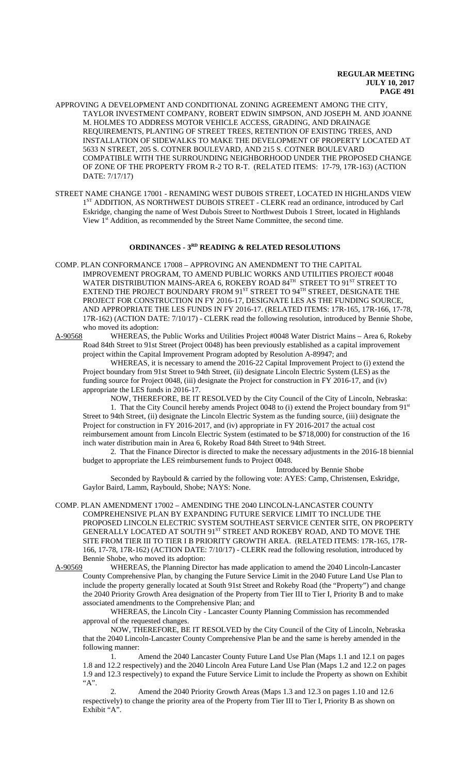- APPROVING A DEVELOPMENT AND CONDITIONAL ZONING AGREEMENT AMONG THE CITY, TAYLOR INVESTMENT COMPANY, ROBERT EDWIN SIMPSON, AND JOSEPH M. AND JOANNE M. HOLMES TO ADDRESS MOTOR VEHICLE ACCESS, GRADING, AND DRAINAGE REQUIREMENTS, PLANTING OF STREET TREES, RETENTION OF EXISTING TREES, AND INSTALLATION OF SIDEWALKS TO MAKE THE DEVELOPMENT OF PROPERTY LOCATED AT 5633 N STREET, 205 S. COTNER BOULEVARD, AND 215 S. COTNER BOULEVARD COMPATIBLE WITH THE SURROUNDING NEIGHBORHOOD UNDER THE PROPOSED CHANGE OF ZONE OF THE PROPERTY FROM R-2 TO R-T. (RELATED ITEMS: 17-79, 17R-163) (ACTION DATE: 7/17/17)
- STREET NAME CHANGE 17001 RENAMING WEST DUBOIS STREET, LOCATED IN HIGHLANDS VIEW 1<sup>ST</sup> ADDITION, AS NORTHWEST DUBOIS STREET - CLERK read an ordinance, introduced by Carl Eskridge, changing the name of West Dubois Street to Northwest Dubois 1 Street, located in Highlands View 1<sup>st</sup> Addition, as recommended by the Street Name Committee, the second time.

#### **ORDINANCES - 3RD READING & RELATED RESOLUTIONS**

COMP. PLAN CONFORMANCE 17008 – APPROVING AN AMENDMENT TO THE CAPITAL IMPROVEMENT PROGRAM, TO AMEND PUBLIC WORKS AND UTILITIES PROJECT #0048 WATER DISTRIBUTION MAINS-AREA 6, ROKEBY ROAD 84TH STREET TO 91ST STREET TO EXTEND THE PROJECT BOUNDARY FROM 91<sup>ST</sup> STREET TO 94<sup>TH</sup> STREET, DESIGNATE THE PROJECT FOR CONSTRUCTION IN FY 2016-17, DESIGNATE LES AS THE FUNDING SOURCE, AND APPROPRIATE THE LES FUNDS IN FY 2016-17. (RELATED ITEMS: 17R-165, 17R-166, 17-78, 17R-162) (ACTION DATE: 7/10/17) - CLERK read the following resolution, introduced by Bennie Shobe, who moved its adoption:<br>A-90568 WHEREAS, the

WHEREAS, the Public Works and Utilities Project #0048 Water District Mains – Area 6, Rokeby Road 84th Street to 91st Street (Project 0048) has been previously established as a capital improvement project within the Capital Improvement Program adopted by Resolution A-89947; and

WHEREAS, it is necessary to amend the 2016-22 Capital Improvement Project to (i) extend the Project boundary from 91st Street to 94th Street, (ii) designate Lincoln Electric System (LES) as the funding source for Project 0048, (iii) designate the Project for construction in FY 2016-17, and (iv) appropriate the LES funds in 2016-17.

NOW, THEREFORE, BE IT RESOLVED by the City Council of the City of Lincoln, Nebraska:

1. That the City Council hereby amends Project 0048 to (i) extend the Project boundary from 91<sup>st</sup> Street to 94th Street, (ii) designate the Lincoln Electric System as the funding source, (iii) designate the Project for construction in FY 2016-2017, and (iv) appropriate in FY 2016-2017 the actual cost reimbursement amount from Lincoln Electric System (estimated to be \$718,000) for construction of the 16 inch water distribution main in Area 6, Rokeby Road 84th Street to 94th Street.

2. That the Finance Director is directed to make the necessary adjustments in the 2016-18 biennial budget to appropriate the LES reimbursement funds to Project 0048. Introduced by Bennie Shobe

Seconded by Raybould & carried by the following vote: AYES: Camp, Christensen, Eskridge, Gaylor Baird, Lamm, Raybould, Shobe; NAYS: None.

COMP. PLAN AMENDMENT 17002 – AMENDING THE 2040 LINCOLN-LANCASTER COUNTY COMPREHENSIVE PLAN BY EXPANDING FUTURE SERVICE LIMIT TO INCLUDE THE PROPOSED LINCOLN ELECTRIC SYSTEM SOUTHEAST SERVICE CENTER SITE, ON PROPERTY GENERALLY LOCATED AT SOUTH 91ST STREET AND ROKEBY ROAD, AND TO MOVE THE SITE FROM TIER III TO TIER I B PRIORITY GROWTH AREA. (RELATED ITEMS: 17R-165, 17R-166, 17-78, 17R-162) (ACTION DATE: 7/10/17) - CLERK read the following resolution, introduced by Bennie Shobe, who moved its adoption:

A-90569 WHEREAS, the Planning Director has made application to amend the 2040 Lincoln-Lancaster County Comprehensive Plan, by changing the Future Service Limit in the 2040 Future Land Use Plan to include the property generally located at South 91st Street and Rokeby Road (the "Property") and change the 2040 Priority Growth Area designation of the Property from Tier III to Tier I, Priority B and to make associated amendments to the Comprehensive Plan; and

WHEREAS, the Lincoln City - Lancaster County Planning Commission has recommended approval of the requested changes.

NOW, THEREFORE, BE IT RESOLVED by the City Council of the City of Lincoln, Nebraska that the 2040 Lincoln-Lancaster County Comprehensive Plan be and the same is hereby amended in the following manner:

1. Amend the 2040 Lancaster County Future Land Use Plan (Maps 1.1 and 12.1 on pages 1.8 and 12.2 respectively) and the 2040 Lincoln Area Future Land Use Plan (Maps 1.2 and 12.2 on pages 1.9 and 12.3 respectively) to expand the Future Service Limit to include the Property as shown on Exhibit "A".

2. Amend the 2040 Priority Growth Areas (Maps 1.3 and 12.3 on pages 1.10 and 12.6 respectively) to change the priority area of the Property from Tier III to Tier I, Priority B as shown on Exhibit "A".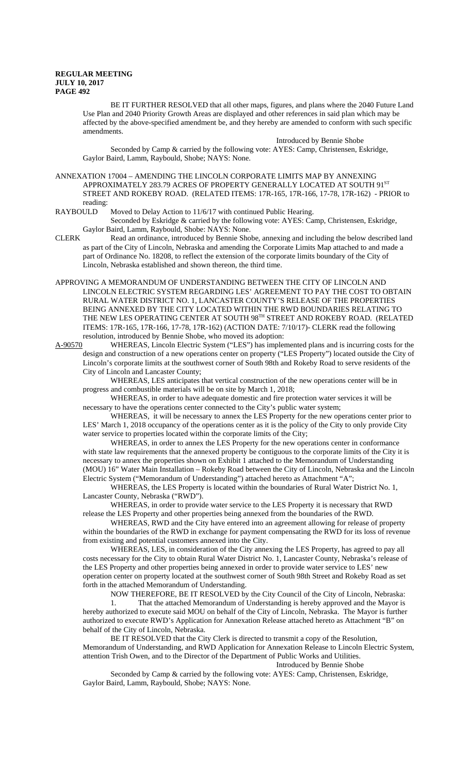BE IT FURTHER RESOLVED that all other maps, figures, and plans where the 2040 Future Land Use Plan and 2040 Priority Growth Areas are displayed and other references in said plan which may be affected by the above-specified amendment be, and they hereby are amended to conform with such specific amendments.

Introduced by Bennie Shobe Seconded by Camp & carried by the following vote: AYES: Camp, Christensen, Eskridge, Gaylor Baird, Lamm, Raybould, Shobe; NAYS: None.

ANNEXATION 17004 – AMENDING THE LINCOLN CORPORATE LIMITS MAP BY ANNEXING APPROXIMATELY 283.79 ACRES OF PROPERTY GENERALLY LOCATED AT SOUTH  $91^{\rm ST}$ STREET AND ROKEBY ROAD. (RELATED ITEMS: 17R-165, 17R-166, 17-78, 17R-162) - PRIOR to reading:<br>RAYBOULD

Moved to Delay Action to 11/6/17 with continued Public Hearing.

Seconded by Eskridge & carried by the following vote: AYES: Camp, Christensen, Eskridge, Gaylor Baird, Lamm, Raybould, Shobe: NAYS: None.

- CLERK Read an ordinance, introduced by Bennie Shobe, annexing and including the below described land as part of the City of Lincoln, Nebraska and amending the Corporate Limits Map attached to and made a part of Ordinance No. 18208, to reflect the extension of the corporate limits boundary of the City of Lincoln, Nebraska established and shown thereon, the third time.
- APPROVING A MEMORANDUM OF UNDERSTANDING BETWEEN THE CITY OF LINCOLN AND LINCOLN ELECTRIC SYSTEM REGARDING LES' AGREEMENT TO PAY THE COST TO OBTAIN RURAL WATER DISTRICT NO. 1, LANCASTER COUNTY'S RELEASE OF THE PROPERTIES BEING ANNEXED BY THE CITY LOCATED WITHIN THE RWD BOUNDARIES RELATING TO THE NEW LES OPERATING CENTER AT SOUTH 98TH STREET AND ROKEBY ROAD. (RELATED ITEMS: 17R-165, 17R-166, 17-78, 17R-162) (ACTION DATE: 7/10/17)- CLERK read the following resolution, introduced by Bennie Shobe, who moved its adoption:

A-90570 WHEREAS, Lincoln Electric System ("LES") has implemented plans and is incurring costs for the design and construction of a new operations center on property ("LES Property") located outside the City of Lincoln's corporate limits at the southwest corner of South 98th and Rokeby Road to serve residents of the City of Lincoln and Lancaster County;

WHEREAS, LES anticipates that vertical construction of the new operations center will be in progress and combustible materials will be on site by March 1, 2018;

WHEREAS, in order to have adequate domestic and fire protection water services it will be necessary to have the operations center connected to the City's public water system;

WHEREAS, it will be necessary to annex the LES Property for the new operations center prior to LES' March 1, 2018 occupancy of the operations center as it is the policy of the City to only provide City water service to properties located within the corporate limits of the City;

WHEREAS, in order to annex the LES Property for the new operations center in conformance with state law requirements that the annexed property be contiguous to the corporate limits of the City it is necessary to annex the properties shown on Exhibit 1 attached to the Memorandum of Understanding (MOU) 16" Water Main Installation – Rokeby Road between the City of Lincoln, Nebraska and the Lincoln Electric System ("Memorandum of Understanding") attached hereto as Attachment "A";

WHEREAS, the LES Property is located within the boundaries of Rural Water District No. 1, Lancaster County, Nebraska ("RWD").

WHEREAS, in order to provide water service to the LES Property it is necessary that RWD release the LES Property and other properties being annexed from the boundaries of the RWD.

WHEREAS, RWD and the City have entered into an agreement allowing for release of property within the boundaries of the RWD in exchange for payment compensating the RWD for its loss of revenue from existing and potential customers annexed into the City.

WHEREAS, LES, in consideration of the City annexing the LES Property, has agreed to pay all costs necessary for the City to obtain Rural Water District No. 1, Lancaster County, Nebraska's release of the LES Property and other properties being annexed in order to provide water service to LES' new operation center on property located at the southwest corner of South 98th Street and Rokeby Road as set forth in the attached Memorandum of Understanding.

NOW THEREFORE, BE IT RESOLVED by the City Council of the City of Lincoln, Nebraska: 1. That the attached Memorandum of Understanding is hereby approved and the Mayor is hereby authorized to execute said MOU on behalf of the City of Lincoln, Nebraska. The Mayor is further authorized to execute RWD's Application for Annexation Release attached hereto as Attachment "B" on behalf of the City of Lincoln, Nebraska.

BE IT RESOLVED that the City Clerk is directed to transmit a copy of the Resolution, Memorandum of Understanding, and RWD Application for Annexation Release to Lincoln Electric System, attention Trish Owen, and to the Director of the Department of Public Works and Utilities.

Introduced by Bennie Shobe

Seconded by Camp & carried by the following vote: AYES: Camp, Christensen, Eskridge, Gaylor Baird, Lamm, Raybould, Shobe; NAYS: None.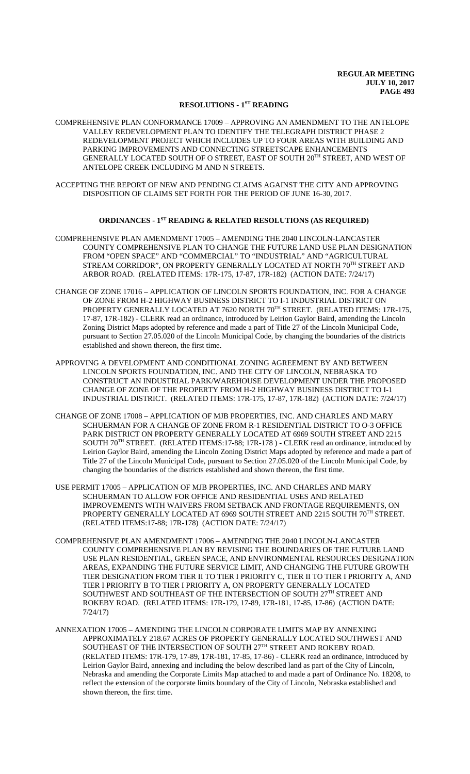## **RESOLUTIONS - 1ST READING**

COMPREHENSIVE PLAN CONFORMANCE 17009 – APPROVING AN AMENDMENT TO THE ANTELOPE VALLEY REDEVELOPMENT PLAN TO IDENTIFY THE TELEGRAPH DISTRICT PHASE 2 REDEVELOPMENT PROJECT WHICH INCLUDES UP TO FOUR AREAS WITH BUILDING AND PARKING IMPROVEMENTS AND CONNECTING STREETSCAPE ENHANCEMENTS GENERALLY LOCATED SOUTH OF O STREET, EAST OF SOUTH 20TH STREET, AND WEST OF ANTELOPE CREEK INCLUDING M AND N STREETS.

ACCEPTING THE REPORT OF NEW AND PENDING CLAIMS AGAINST THE CITY AND APPROVING DISPOSITION OF CLAIMS SET FORTH FOR THE PERIOD OF JUNE 16-30, 2017.

## **ORDINANCES - 1ST READING & RELATED RESOLUTIONS (AS REQUIRED)**

COMPREHENSIVE PLAN AMENDMENT 17005 – AMENDING THE 2040 LINCOLN-LANCASTER COUNTY COMPREHENSIVE PLAN TO CHANGE THE FUTURE LAND USE PLAN DESIGNATION FROM "OPEN SPACE" AND "COMMERCIAL" TO "INDUSTRIAL" AND "AGRICULTURAL STREAM CORRIDOR", ON PROPERTY GENERALLY LOCATED AT NORTH 70TH STREET AND ARBOR ROAD. (RELATED ITEMS: 17R-175, 17-87, 17R-182) (ACTION DATE: 7/24/17)

- CHANGE OF ZONE 17016 APPLICATION OF LINCOLN SPORTS FOUNDATION, INC. FOR A CHANGE OF ZONE FROM H-2 HIGHWAY BUSINESS DISTRICT TO I-1 INDUSTRIAL DISTRICT ON PROPERTY GENERALLY LOCATED AT 7620 NORTH 70TH STREET. (RELATED ITEMS: 17R-175, 17-87, 17R-182) - CLERK read an ordinance, introduced by Leirion Gaylor Baird, amending the Lincoln Zoning District Maps adopted by reference and made a part of Title 27 of the Lincoln Municipal Code, pursuant to Section 27.05.020 of the Lincoln Municipal Code, by changing the boundaries of the districts established and shown thereon, the first time.
- APPROVING A DEVELOPMENT AND CONDITIONAL ZONING AGREEMENT BY AND BETWEEN LINCOLN SPORTS FOUNDATION, INC. AND THE CITY OF LINCOLN, NEBRASKA TO CONSTRUCT AN INDUSTRIAL PARK/WAREHOUSE DEVELOPMENT UNDER THE PROPOSED CHANGE OF ZONE OF THE PROPERTY FROM H-2 HIGHWAY BUSINESS DISTRICT TO I-1 INDUSTRIAL DISTRICT. (RELATED ITEMS: 17R-175, 17-87, 17R-182) (ACTION DATE: 7/24/17)
- CHANGE OF ZONE 17008 APPLICATION OF MJB PROPERTIES, INC. AND CHARLES AND MARY SCHUERMAN FOR A CHANGE OF ZONE FROM R-1 RESIDENTIAL DISTRICT TO O-3 OFFICE PARK DISTRICT ON PROPERTY GENERALLY LOCATED AT 6969 SOUTH STREET AND 2215 SOUTH 70TH STREET. (RELATED ITEMS:17-88; 17R-178 ) - CLERK read an ordinance, introduced by Leirion Gaylor Baird, amending the Lincoln Zoning District Maps adopted by reference and made a part of Title 27 of the Lincoln Municipal Code, pursuant to Section 27.05.020 of the Lincoln Municipal Code, by changing the boundaries of the districts established and shown thereon, the first time.
- USE PERMIT 17005 APPLICATION OF MJB PROPERTIES, INC. AND CHARLES AND MARY SCHUERMAN TO ALLOW FOR OFFICE AND RESIDENTIAL USES AND RELATED IMPROVEMENTS WITH WAIVERS FROM SETBACK AND FRONTAGE REQUIREMENTS, ON PROPERTY GENERALLY LOCATED AT 6969 SOUTH STREET AND 2215 SOUTH 70TH STREET. (RELATED ITEMS:17-88; 17R-178) (ACTION DATE: 7/24/17)
- COMPREHENSIVE PLAN AMENDMENT 17006 AMENDING THE 2040 LINCOLN-LANCASTER COUNTY COMPREHENSIVE PLAN BY REVISING THE BOUNDARIES OF THE FUTURE LAND USE PLAN RESIDENTIAL, GREEN SPACE, AND ENVIRONMENTAL RESOURCES DESIGNATION AREAS, EXPANDING THE FUTURE SERVICE LIMIT, AND CHANGING THE FUTURE GROWTH TIER DESIGNATION FROM TIER II TO TIER I PRIORITY C, TIER II TO TIER I PRIORITY A, AND TIER I PRIORITY B TO TIER I PRIORITY A, ON PROPERTY GENERALLY LOCATED SOUTHWEST AND SOUTHEAST OF THE INTERSECTION OF SOUTH 27TH STREET AND ROKEBY ROAD. (RELATED ITEMS: 17R-179, 17-89, 17R-181, 17-85, 17-86) (ACTION DATE: 7/24/17)
- ANNEXATION 17005 AMENDING THE LINCOLN CORPORATE LIMITS MAP BY ANNEXING APPROXIMATELY 218.67 ACRES OF PROPERTY GENERALLY LOCATED SOUTHWEST AND SOUTHEAST OF THE INTERSECTION OF SOUTH  $27^{\text{TH}}$  STREET AND ROKEBY ROAD. (RELATED ITEMS: 17R-179, 17-89, 17R-181, 17-85, 17-86) - CLERK read an ordinance, introduced by Leirion Gaylor Baird, annexing and including the below described land as part of the City of Lincoln, Nebraska and amending the Corporate Limits Map attached to and made a part of Ordinance No. 18208, to reflect the extension of the corporate limits boundary of the City of Lincoln, Nebraska established and shown thereon, the first time.